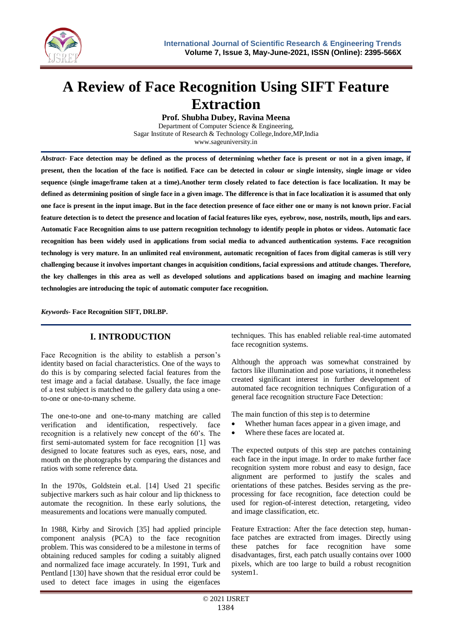

# **A Review of Face Recognition Using SIFT Feature Extraction**

**Prof. Shubha Dubey, Ravina Meena**

Department of Computer Science & Engineering, Sagar Institute of Research & Technology College,Indore,MP,India www.sageuniversity.in

*Abstract-* **Face detection may be defined as the process of determining whether face is present or not in a given image, if present, then the location of the face is notified. Face can be detected in colour or single intensity, single image or video sequence (single image/frame taken at a time).Another term closely related to face detection is face localization. It may be defined as determining position of single face in a given image. The difference is that in face localization it is assumed that only one face is present in the input image. But in the face detection presence of face either one or many is not known prior. Facial feature detection is to detect the presence and location of facial features like eyes, eyebrow, nose, nostrils, mouth, lips and ears. Automatic Face Recognition aims to use pattern recognition technology to identify people in photos or videos. Automatic face recognition has been widely used in applications from social media to advanced authentication systems. Face recognition technology is very mature. In an unlimited real environment, automatic recognition of faces from digital cameras is still very challenging because it involves important changes in acquisition conditions, facial expressions and attitude changes. Therefore, the key challenges in this area as well as developed solutions and applications based on imaging and machine learning technologies are introducing the topic of automatic computer face recognition.**

*Keywords***- Face Recognition SIFT, DRLBP.**

## **I. INTRODUCTION**

Face Recognition is the ability to establish a person's identity based on facial characteristics. One of the ways to do this is by comparing selected facial features from the test image and a facial database. Usually, the face image of a test subject is matched to the gallery data using a oneto-one or one-to-many scheme.

The one-to-one and one-to-many matching are called verification and identification, respectively. face recognition is a relatively new concept of the 60's. The first semi-automated system for face recognition [1] was designed to locate features such as eyes, ears, nose, and mouth on the photographs by comparing the distances and ratios with some reference data.

In the 1970s, Goldstein et.al. [14] Used 21 specific subjective markers such as hair colour and lip thickness to automate the recognition. In these early solutions, the measurements and locations were manually computed.

In 1988, Kirby and Sirovich [35] had applied principle component analysis (PCA) to the face recognition problem. This was considered to be a milestone in terms of obtaining reduced samples for coding a suitably aligned and normalized face image accurately. In 1991, Turk and Pentland [130] have shown that the residual error could be used to detect face images in using the eigenfaces

techniques. This has enabled reliable real-time automated face recognition systems.

Although the approach was somewhat constrained by factors like illumination and pose variations, it nonetheless created significant interest in further development of automated face recognition techniques Configuration of a general face recognition structure Face Detection:

The main function of this step is to determine

- Whether human faces appear in a given image, and
- Where these faces are located at.

The expected outputs of this step are patches containing each face in the input image. In order to make further face recognition system more robust and easy to design, face alignment are performed to justify the scales and orientations of these patches. Besides serving as the preprocessing for face recognition, face detection could be used for region-of-interest detection, retargeting, video and image classification, etc.

Feature Extraction: After the face detection step, humanface patches are extracted from images. Directly using these patches for face recognition have some disadvantages, first, each patch usually contains over 1000 pixels, which are too large to build a robust recognition system1.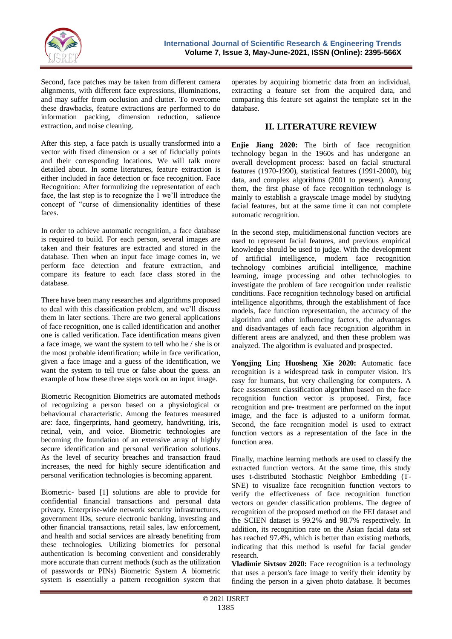

Second, face patches may be taken from different camera alignments, with different face expressions, illuminations, and may suffer from occlusion and clutter. To overcome these drawbacks, feature extractions are performed to do information packing, dimension reduction, salience extraction, and noise cleaning.

After this step, a face patch is usually transformed into a vector with fixed dimension or a set of fiducially points and their corresponding locations. We will talk more detailed about. In some literatures, feature extraction is either included in face detection or face recognition. Face Recognition: After formulizing the representation of each face, the last step is to recognize the 1 we'll introduce the concept of "curse of dimensionality identities of these faces.

In order to achieve automatic recognition, a face database is required to build. For each person, several images are taken and their features are extracted and stored in the database. Then when an input face image comes in, we perform face detection and feature extraction, and compare its feature to each face class stored in the database.

There have been many researches and algorithms proposed to deal with this classification problem, and we'll discuss them in later sections. There are two general applications of face recognition, one is called identification and another one is called verification. Face identification means given a face image, we want the system to tell who he / she is or the most probable identification; while in face verification, given a face image and a guess of the identification, we want the system to tell true or false about the guess. an example of how these three steps work on an input image.

Biometric Recognition Biometrics are automated methods of recognizing a person based on a physiological or behavioural characteristic. Among the features measured are: face, fingerprints, hand geometry, handwriting, iris, retinal, vein, and voice. Biometric technologies are becoming the foundation of an extensive array of highly secure identification and personal verification solutions. As the level of security breaches and transaction fraud increases, the need for highly secure identification and personal verification technologies is becoming apparent.

Biometric- based [1] solutions are able to provide for confidential financial transactions and personal data privacy. Enterprise-wide network security infrastructures, government IDs, secure electronic banking, investing and other financial transactions, retail sales, law enforcement, and health and social services are already benefiting from these technologies. Utilizing biometrics for personal authentication is becoming convenient and considerably more accurate than current methods (such as the utilization of passwords or PINs) Biometric System A biometric system is essentially a pattern recognition system that

operates by acquiring biometric data from an individual, extracting a feature set from the acquired data, and comparing this feature set against the template set in the database.

# **II. LITERATURE REVIEW**

**Enjie Jiang 2020:** The birth of face recognition technology began in the 1960s and has undergone an overall development process: based on facial structural features (1970-1990), statistical features (1991-2000), big data, and complex algorithms (2001 to present). Among them, the first phase of face recognition technology is mainly to establish a grayscale image model by studying facial features, but at the same time it can not complete automatic recognition.

In the second step, multidimensional function vectors are used to represent facial features, and previous empirical knowledge should be used to judge. With the development of artificial intelligence, modern face recognition technology combines artificial intelligence, machine learning, image processing and other technologies to investigate the problem of face recognition under realistic conditions. Face recognition technology based on artificial intelligence algorithms, through the establishment of face models, face function representation, the accuracy of the algorithm and other influencing factors, the advantages and disadvantages of each face recognition algorithm in different areas are analyzed, and then these problem was analyzed. The algorithm is evaluated and prospected.

**Yongjing Lin; Huosheng Xie 2020:** Automatic face recognition is a widespread task in computer vision. It's easy for humans, but very challenging for computers. A face assessment classification algorithm based on the face recognition function vector is proposed. First, face recognition and pre- treatment are performed on the input image, and the face is adjusted to a uniform format. Second, the face recognition model is used to extract function vectors as a representation of the face in the function area.

Finally, machine learning methods are used to classify the extracted function vectors. At the same time, this study uses t-distributed Stochastic Neighbor Embedding (T-SNE) to visualize face recognition function vectors to verify the effectiveness of face recognition function vectors on gender classification problems. The degree of recognition of the proposed method on the FEI dataset and the SCIEN dataset is 99.2% and 98.7% respectively. In addition, its recognition rate on the Asian facial data set has reached 97.4%, which is better than existing methods, indicating that this method is useful for facial gender research.

**Vladimir Sivtsov 2020:** Face recognition is a technology that uses a person's face image to verify their identity by finding the person in a given photo database. It becomes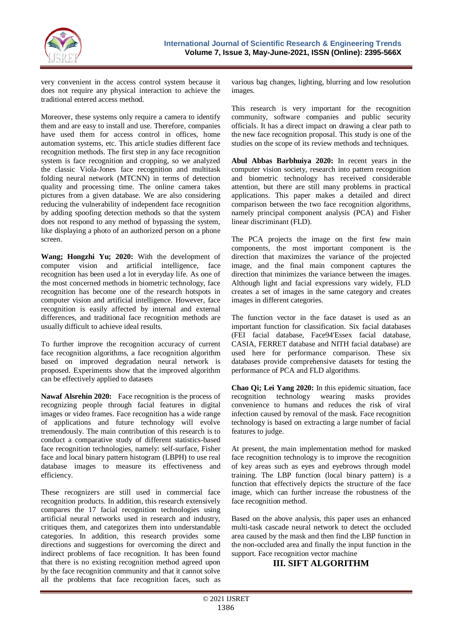

very convenient in the access control system because it does not require any physical interaction to achieve the traditional entered access method.

Moreover, these systems only require a camera to identify them and are easy to install and use. Therefore, companies have used them for access control in offices, home automation systems, etc. This article studies different face recognition methods. The first step in any face recognition system is face recognition and cropping, so we analyzed the classic Viola-Jones face recognition and multitask folding neural network (MTCNN) in terms of detection quality and processing time. The online camera takes pictures from a given database. We are also considering reducing the vulnerability of independent face recognition by adding spoofing detection methods so that the system does not respond to any method of bypassing the system, like displaying a photo of an authorized person on a phone screen.

**Wang; Hongzhi Yu; 2020:** With the development of computer vision and artificial intelligence, face recognition has been used a lot in everyday life. As one of the most concerned methods in biometric technology, face recognition has become one of the research hotspots in computer vision and artificial intelligence. However, face recognition is easily affected by internal and external differences, and traditional face recognition methods are usually difficult to achieve ideal results.

To further improve the recognition accuracy of current face recognition algorithms, a face recognition algorithm based on improved degradation neural network is proposed. Experiments show that the improved algorithm can be effectively applied to datasets

**Nawaf Alsrehin 2020:** Face recognition is the process of recognizing people through facial features in digital images or video frames. Face recognition has a wide range of applications and future technology will evolve tremendously. The main contribution of this research is to conduct a comparative study of different statistics-based face recognition technologies, namely: self-surface, Fisher face and local binary pattern histogram (LBPH) to use real database images to measure its effectiveness and efficiency.

These recognizers are still used in commercial face recognition products. In addition, this research extensively compares the 17 facial recognition technologies using artificial neural networks used in research and industry, critiques them, and categorizes them into understandable categories. In addition, this research provides some directions and suggestions for overcoming the direct and indirect problems of face recognition. It has been found that there is no existing recognition method agreed upon by the face recognition community and that it cannot solve all the problems that face recognition faces, such as

various bag changes, lighting, blurring and low resolution images.

This research is very important for the recognition community, software companies and public security officials. It has a direct impact on drawing a clear path to the new face recognition proposal. This study is one of the studies on the scope of its review methods and techniques.

**Abul Abbas Barbhuiya 2020:** In recent years in the computer vision society, research into pattern recognition and biometric technology has received considerable attention, but there are still many problems in practical applications. This paper makes a detailed and direct comparison between the two face recognition algorithms, namely principal component analysis (PCA) and Fisher linear discriminant (FLD).

The PCA projects the image on the first few main components, the most important component is the direction that maximizes the variance of the projected image, and the final main component captures the direction that minimizes the variance between the images. Although light and facial expressions vary widely, FLD creates a set of images in the same category and creates images in different categories.

The function vector in the face dataset is used as an important function for classification. Six facial databases (FEI facial database, Face94'Essex facial database, CASIA, FERRET database and NITH facial database) are used here for performance comparison. These six databases provide comprehensive datasets for testing the performance of PCA and FLD algorithms.

**Chao Qi; Lei Yang 2020:** In this epidemic situation, face recognition technology wearing masks provides recognition technology wearing masks provides convenience to humans and reduces the risk of viral infection caused by removal of the mask. Face recognition technology is based on extracting a large number of facial features to judge.

At present, the main implementation method for masked face recognition technology is to improve the recognition of key areas such as eyes and eyebrows through model training. The LBP function (local binary pattern) is a function that effectively depicts the structure of the face image, which can further increase the robustness of the face recognition method.

Based on the above analysis, this paper uses an enhanced multi-task cascade neural network to detect the occluded area caused by the mask and then find the LBP function in the non-occluded area and finally the input function in the support. Face recognition vector machine

## **III. SIFT ALGORITHM**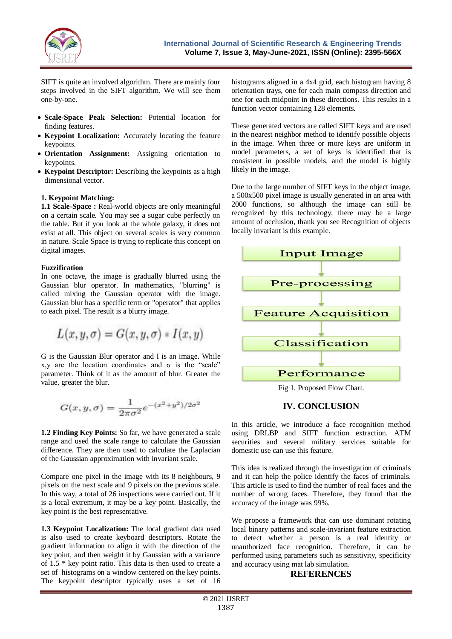

SIFT is quite an involved algorithm. There are mainly four steps involved in the SIFT algorithm. We will see them one-by-one.

- **Scale-Space Peak Selection:** Potential location for finding features.
- **Keypoint Localization:** Accurately locating the feature keypoints.
- **Orientation Assignment:** Assigning orientation to keypoints.
- **Keypoint Descriptor:** Describing the keypoints as a high dimensional vector.

#### **1. Keypoint Matching:**

**1.1 Scale-Space :** Real-world objects are only meaningful on a certain scale. You may see a sugar cube perfectly on the table. But if you look at the whole galaxy, it does not exist at all. This object on several scales is very common in nature. Scale Space is trying to replicate this concept on digital images.

#### **Fuzzification**

In one octave, the image is gradually blurred using the Gaussian blur operator. In mathematics, "blurring" is called mixing the Gaussian operator with the image. Gaussian blur has a specific term or "operator" that applies to each pixel. The result is a blurry image.

$$
L(x,y,\sigma)=G(x,y,\sigma)\ast I(x,y)
$$

G is the Gaussian Blur operator and I is an image. While x,y are the location coordinates and  $\sigma$  is the "scale" parameter. Think of it as the amount of blur. Greater the value, greater the blur.

$$
G(x,y,\sigma)=\frac{1}{2\pi\sigma^2}e^{-(x^2+y^2)/2\sigma^2}
$$

**1.2 Finding Key Points:** So far, we have generated a scale range and used the scale range to calculate the Gaussian difference. They are then used to calculate the Laplacian of the Gaussian approximation with invariant scale.

Compare one pixel in the image with its 8 neighbours, 9 pixels on the next scale and 9 pixels on the previous scale. In this way, a total of 26 inspections were carried out. If it is a local extremum, it may be a key point. Basically, the key point is the best representative.

**1.3 Keypoint Localization:** The local gradient data used is also used to create keyboard descriptors. Rotate the gradient information to align it with the direction of the key point, and then weight it by Gaussian with a variance of 1.5 \* key point ratio. This data is then used to create a set of histograms on a window centered on the key points. The keypoint descriptor typically uses a set of 16

histograms aligned in a 4x4 grid, each histogram having 8 orientation trays, one for each main compass direction and one for each midpoint in these directions. This results in a function vector containing 128 elements.

These generated vectors are called SIFT keys and are used in the nearest neighbor method to identify possible objects in the image. When three or more keys are uniform in model parameters, a set of keys is identified that is consistent in possible models, and the model is highly likely in the image.

Due to the large number of SIFT keys in the object image, a 500x500 pixel image is usually generated in an area with 2000 functions, so although the image can still be recognized by this technology, there may be a large amount of occlusion, thank you see Recognition of objects locally invariant is this example.



Fig 1. Proposed Flow Chart.

## **IV. CONCLUSION**

In this article, we introduce a face recognition method using DRLBP and SIFT function extraction. ATM securities and several military services suitable for domestic use can use this feature.

This idea is realized through the investigation of criminals and it can help the police identify the faces of criminals. This article is used to find the number of real faces and the number of wrong faces. Therefore, they found that the accuracy of the image was 99%.

We propose a framework that can use dominant rotating local binary patterns and scale-invariant feature extraction to detect whether a person is a real identity or unauthorized face recognition. Therefore, it can be performed using parameters such as sensitivity, specificity and accuracy using mat lab simulation.

#### **REFERENCES**